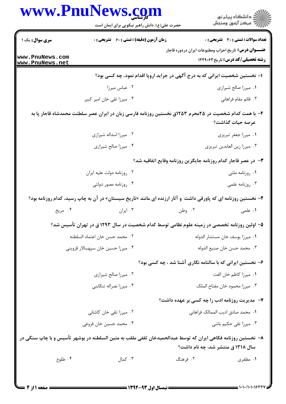| <b>زمان آزمون (دقیقه) : تستی : 60 ٪ تشریحی : 0</b><br><b>تعداد سوالات : تستی : 30 ٪ تشریحی : 0</b><br><b>سری سوال :</b> یک ۱<br><b>عنـــوان درس:</b> تاریخ احزاب ومطبوعات ایران دردوره قاجار<br>www.PnuNews.com<br><b>رشته تحصیلی/کد درس:</b> تاریخ ۱۲۲۹۰۶۳<br>www.PnuNews.net<br>ا– نخستین شخصیت ایرانی که به درج آگهی در جراید اروپا اقدام نمود، چه کسی بود؟<br>۰۲ عباس میرزا<br>٠١ ميرزا صالح شيرازي<br>۰۳ قائم مقام فراهانی<br>۰۴ میرزا تقی خان امیر کبیر<br>۲– با همت کدام شخصیت در ۲۵محرم ۱۲۵۳ق نخستین روزنامه فارسی زبان در ایران عصر سلطنت محمدشاه قاجار پا به<br>عرصه حيات گذاشت؟<br>۰۲ میرزا اسداله شیرازی<br>٠١ ميرزا جعفر تبريزي<br>۰۴ میرزا صالح شیرازی<br>۰۳ میرزا زین العابدین تبریزی<br>۳- در عصر قاجار کدام روزنامه جایگزین روزنامه وقایع اتفاقیه شد؟<br>۰۲ روزنامه دولت عليه ايران<br>۰۱ روزنامه ملتي<br>۰۴ روزنامه مصور دولتی<br>۰۳ روزنامه علمی<br>۴- نخستین روزنامه ای که پاورقی داشت و آثار ارزنده ای مانند «تاریخ سیستان» در آن به چاپ رسید، کدام روزنامه بود؟<br>۰۴ مريخ<br>۰۳ ایران<br>۰۲ وطن<br>۰۱ علمی<br>۵– اولین روزنامه تخصصی در زمینه علوم نظامی توسط کدام شخصیت در سال ۱۲۹۳ ق در تهران تأسیس شد؟<br>٠١ ميرزا يوسف خان مستشار الدوله<br>٠٢ محمد حسن خان اعتماد السلطنه<br>٠٣ محمد حسن خان صنيع الدوله<br>۰۴ میرزا حسین خان سپهسالار قزوینی<br>۶- نخستین ایرانی که با سالنامه نگاری آشنا شد ، چه کسی بود؟<br>٠١ ميرزا كاظم خان الفت<br>۰۲ میرزا صالح شیرازی<br>۰۴ میرزا نصراله تنکابنی<br>۰۳ میرزا محمود خان مفتاح الملک<br>۷- مدیریت روزنامه ادب را چه کسی بر عهده داشت؟<br>٠١ محمد صادق اديب الممالك فراهاني<br>۰۲ میرزا تقی خان کاشانی<br>۰۳ میرزا تقی حکیم باشی<br>۰۴ محمد حسین خان فروغی<br>۸–  نخستین روزنامه فکاهی ایران که توسط عبدالحمیدخان ثقفی ملقب به متین السلطنه در بوشهر تأسیس و با چاپ سنگی در<br>سال ۱۳۱۸ ق منتشر شد، چه نام داشت؟<br>$\cdot$ 7 کمال<br>۰۴ طلوع<br>۰۲ فرهنگ<br>۰۱ مظفری | www.rnurews. <u>co</u> m<br>حضرت علی(ع): دانش راهبر نیکویی برای ایمان است | ڪ دانشڪاه پيام نور<br>ر∕⊂ مرڪز آزمون وسنڊش |
|----------------------------------------------------------------------------------------------------------------------------------------------------------------------------------------------------------------------------------------------------------------------------------------------------------------------------------------------------------------------------------------------------------------------------------------------------------------------------------------------------------------------------------------------------------------------------------------------------------------------------------------------------------------------------------------------------------------------------------------------------------------------------------------------------------------------------------------------------------------------------------------------------------------------------------------------------------------------------------------------------------------------------------------------------------------------------------------------------------------------------------------------------------------------------------------------------------------------------------------------------------------------------------------------------------------------------------------------------------------------------------------------------------------------------------------------------------------------------------------------------------------------------------------------------------------------------------------------------------------------------------------------------------------------------------------------------------------------------------------------------------------------------------------------------------------------------------------|---------------------------------------------------------------------------|--------------------------------------------|
|                                                                                                                                                                                                                                                                                                                                                                                                                                                                                                                                                                                                                                                                                                                                                                                                                                                                                                                                                                                                                                                                                                                                                                                                                                                                                                                                                                                                                                                                                                                                                                                                                                                                                                                                                                                                                                        |                                                                           |                                            |
|                                                                                                                                                                                                                                                                                                                                                                                                                                                                                                                                                                                                                                                                                                                                                                                                                                                                                                                                                                                                                                                                                                                                                                                                                                                                                                                                                                                                                                                                                                                                                                                                                                                                                                                                                                                                                                        |                                                                           |                                            |
|                                                                                                                                                                                                                                                                                                                                                                                                                                                                                                                                                                                                                                                                                                                                                                                                                                                                                                                                                                                                                                                                                                                                                                                                                                                                                                                                                                                                                                                                                                                                                                                                                                                                                                                                                                                                                                        |                                                                           |                                            |
|                                                                                                                                                                                                                                                                                                                                                                                                                                                                                                                                                                                                                                                                                                                                                                                                                                                                                                                                                                                                                                                                                                                                                                                                                                                                                                                                                                                                                                                                                                                                                                                                                                                                                                                                                                                                                                        |                                                                           |                                            |
|                                                                                                                                                                                                                                                                                                                                                                                                                                                                                                                                                                                                                                                                                                                                                                                                                                                                                                                                                                                                                                                                                                                                                                                                                                                                                                                                                                                                                                                                                                                                                                                                                                                                                                                                                                                                                                        |                                                                           |                                            |
|                                                                                                                                                                                                                                                                                                                                                                                                                                                                                                                                                                                                                                                                                                                                                                                                                                                                                                                                                                                                                                                                                                                                                                                                                                                                                                                                                                                                                                                                                                                                                                                                                                                                                                                                                                                                                                        |                                                                           |                                            |
|                                                                                                                                                                                                                                                                                                                                                                                                                                                                                                                                                                                                                                                                                                                                                                                                                                                                                                                                                                                                                                                                                                                                                                                                                                                                                                                                                                                                                                                                                                                                                                                                                                                                                                                                                                                                                                        |                                                                           |                                            |
|                                                                                                                                                                                                                                                                                                                                                                                                                                                                                                                                                                                                                                                                                                                                                                                                                                                                                                                                                                                                                                                                                                                                                                                                                                                                                                                                                                                                                                                                                                                                                                                                                                                                                                                                                                                                                                        |                                                                           |                                            |
|                                                                                                                                                                                                                                                                                                                                                                                                                                                                                                                                                                                                                                                                                                                                                                                                                                                                                                                                                                                                                                                                                                                                                                                                                                                                                                                                                                                                                                                                                                                                                                                                                                                                                                                                                                                                                                        |                                                                           |                                            |
|                                                                                                                                                                                                                                                                                                                                                                                                                                                                                                                                                                                                                                                                                                                                                                                                                                                                                                                                                                                                                                                                                                                                                                                                                                                                                                                                                                                                                                                                                                                                                                                                                                                                                                                                                                                                                                        |                                                                           |                                            |
|                                                                                                                                                                                                                                                                                                                                                                                                                                                                                                                                                                                                                                                                                                                                                                                                                                                                                                                                                                                                                                                                                                                                                                                                                                                                                                                                                                                                                                                                                                                                                                                                                                                                                                                                                                                                                                        |                                                                           |                                            |
|                                                                                                                                                                                                                                                                                                                                                                                                                                                                                                                                                                                                                                                                                                                                                                                                                                                                                                                                                                                                                                                                                                                                                                                                                                                                                                                                                                                                                                                                                                                                                                                                                                                                                                                                                                                                                                        |                                                                           |                                            |
|                                                                                                                                                                                                                                                                                                                                                                                                                                                                                                                                                                                                                                                                                                                                                                                                                                                                                                                                                                                                                                                                                                                                                                                                                                                                                                                                                                                                                                                                                                                                                                                                                                                                                                                                                                                                                                        |                                                                           |                                            |
|                                                                                                                                                                                                                                                                                                                                                                                                                                                                                                                                                                                                                                                                                                                                                                                                                                                                                                                                                                                                                                                                                                                                                                                                                                                                                                                                                                                                                                                                                                                                                                                                                                                                                                                                                                                                                                        |                                                                           |                                            |
|                                                                                                                                                                                                                                                                                                                                                                                                                                                                                                                                                                                                                                                                                                                                                                                                                                                                                                                                                                                                                                                                                                                                                                                                                                                                                                                                                                                                                                                                                                                                                                                                                                                                                                                                                                                                                                        |                                                                           |                                            |
|                                                                                                                                                                                                                                                                                                                                                                                                                                                                                                                                                                                                                                                                                                                                                                                                                                                                                                                                                                                                                                                                                                                                                                                                                                                                                                                                                                                                                                                                                                                                                                                                                                                                                                                                                                                                                                        |                                                                           |                                            |
|                                                                                                                                                                                                                                                                                                                                                                                                                                                                                                                                                                                                                                                                                                                                                                                                                                                                                                                                                                                                                                                                                                                                                                                                                                                                                                                                                                                                                                                                                                                                                                                                                                                                                                                                                                                                                                        |                                                                           |                                            |
|                                                                                                                                                                                                                                                                                                                                                                                                                                                                                                                                                                                                                                                                                                                                                                                                                                                                                                                                                                                                                                                                                                                                                                                                                                                                                                                                                                                                                                                                                                                                                                                                                                                                                                                                                                                                                                        |                                                                           |                                            |
|                                                                                                                                                                                                                                                                                                                                                                                                                                                                                                                                                                                                                                                                                                                                                                                                                                                                                                                                                                                                                                                                                                                                                                                                                                                                                                                                                                                                                                                                                                                                                                                                                                                                                                                                                                                                                                        |                                                                           |                                            |
|                                                                                                                                                                                                                                                                                                                                                                                                                                                                                                                                                                                                                                                                                                                                                                                                                                                                                                                                                                                                                                                                                                                                                                                                                                                                                                                                                                                                                                                                                                                                                                                                                                                                                                                                                                                                                                        |                                                                           |                                            |
|                                                                                                                                                                                                                                                                                                                                                                                                                                                                                                                                                                                                                                                                                                                                                                                                                                                                                                                                                                                                                                                                                                                                                                                                                                                                                                                                                                                                                                                                                                                                                                                                                                                                                                                                                                                                                                        |                                                                           |                                            |
|                                                                                                                                                                                                                                                                                                                                                                                                                                                                                                                                                                                                                                                                                                                                                                                                                                                                                                                                                                                                                                                                                                                                                                                                                                                                                                                                                                                                                                                                                                                                                                                                                                                                                                                                                                                                                                        |                                                                           |                                            |
|                                                                                                                                                                                                                                                                                                                                                                                                                                                                                                                                                                                                                                                                                                                                                                                                                                                                                                                                                                                                                                                                                                                                                                                                                                                                                                                                                                                                                                                                                                                                                                                                                                                                                                                                                                                                                                        |                                                                           |                                            |
|                                                                                                                                                                                                                                                                                                                                                                                                                                                                                                                                                                                                                                                                                                                                                                                                                                                                                                                                                                                                                                                                                                                                                                                                                                                                                                                                                                                                                                                                                                                                                                                                                                                                                                                                                                                                                                        |                                                                           |                                            |
|                                                                                                                                                                                                                                                                                                                                                                                                                                                                                                                                                                                                                                                                                                                                                                                                                                                                                                                                                                                                                                                                                                                                                                                                                                                                                                                                                                                                                                                                                                                                                                                                                                                                                                                                                                                                                                        |                                                                           |                                            |

NT

∖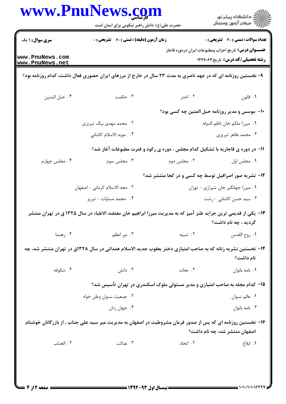|                                    | حضرت علی(ع): دانش راهبر نیکویی برای ایمان است                                                                  |                                                                                | ڪ دانشڪاه پيام نور<br>∕7 مرڪز آزمون وسنڊش                                                                 |
|------------------------------------|----------------------------------------------------------------------------------------------------------------|--------------------------------------------------------------------------------|-----------------------------------------------------------------------------------------------------------|
| <b>سری سوال :</b> ۱ یک             | زمان آزمون (دقیقه) : تستی : ۶۰٪ تشریحی : ۰                                                                     |                                                                                | تعداد سوالات : تستي : 30 ٪ تشريحي : 0                                                                     |
| www.PnuNews.com<br>www.PnuNews.net |                                                                                                                |                                                                                | <b>عنــــوان درس :</b> تاریخ احزاب ومطبوعات ایران دردوره قاجار<br><b>رشته تحصیلی/کد درس:</b> تاریخ3۲۲۹۰۶۳ |
|                                    | ۹- نخستین روزنامه ای که در عهد ناصری به مدت ۲۳ سال در خارج از مرزهای ایران حضوری فعال داشت، کدام روزنامه بود؟  |                                                                                |                                                                                                           |
| ۰۴ حبل المتين                      | ۰۳ حکمت                                                                                                        | ۰۲ اختر                                                                        | ٠١ قانون                                                                                                  |
|                                    |                                                                                                                | ۱۰– موسس و مدیر روزنامه حبل المتین چه کسی بود؟                                 |                                                                                                           |
|                                    | ۰۲ محمد مهدی بیگ تبریزی                                                                                        |                                                                                | ٠١. ميرزا ملكم خان ناظم الدوله                                                                            |
|                                    | ۰۴ مويد الاسلام كاشاني                                                                                         |                                                                                | ۰۳ محمد طاهر تبریزی                                                                                       |
|                                    |                                                                                                                | 11- در دوره ی قاجاریه با تشکیل کدام مجلس ، دوره ی رکود و فترت مطبوعات آغاز شد؟ |                                                                                                           |
| ۰۴ مجلس چهارم                      | ۰۳ مجلس سوم                                                                                                    | ۰۲ مجلس دوم                                                                    | ٠١ مجلس اول                                                                                               |
|                                    |                                                                                                                | ۱۲- نشریه صور اصرافیل توسط چه کسی و در کجا منتشر شد؟                           |                                                                                                           |
|                                    | ٢. مجد الاسلام كرماني - اصفهان                                                                                 |                                                                                | ٠١ ميرزا جهانگير خان شيرازي - تهران                                                                       |
|                                    | ۰۴ محمد مساوات - تبریز                                                                                         |                                                                                | ۰۳ سید حسن کاشانی - رشت                                                                                   |
|                                    | ۱۳– یکی از قدیمی ترین جراید طنز آمیز که به مدیریت میرزا ابراهیم خان معتضد الاطباء در سال ۱۳۲۵ ق در تهران منتشر |                                                                                | گردید ، چه نام داشت؟                                                                                      |
| ۰۴ رهنما                           | ۰۳ نیر اعظم                                                                                                    | ۰۲ تنبیه                                                                       | ٠١. روح القدس                                                                                             |
|                                    | ۱۴– نخستین نشریه زنانه که به صاحب امتیازی دختر یعقوب جدید الاسلام همدانی در سال ۱۳۲۸ق در تهران منتشر شد، چه    |                                                                                | نام داشت؟                                                                                                 |
| ۰۴ شکوفه                           | دانش $\cdot$ ۳ .                                                                                               | ۰۲ نجات                                                                        | ٠١ نامه بانوان                                                                                            |
|                                    |                                                                                                                | ۱۵- کدام مجله به صاحب امتیازی و مدیر مسئولی ملوک اسکندری در تهران تأسیس شد؟    |                                                                                                           |
|                                    | ۰۲ جمعیت نسوان وطن خواه                                                                                        |                                                                                | ٠١ عالم نسوان                                                                                             |
|                                    | ۰۴ جهان زنان                                                                                                   |                                                                                | ۰۳ نامه بانوان                                                                                            |
|                                    | ۱۶– نخستین روزنامه ای که پس از صدور فرمان مشروطیت در اصفهان به مدیریت میر سید علی جناب ، از بازرگانان خوشنام   |                                                                                |                                                                                                           |
|                                    |                                                                                                                |                                                                                | اصفهان منتشر شد، چه نام داشت؟                                                                             |
| ۰۴ الجناب                          | ۰۳ عدالت                                                                                                       | ۰۲ اتحاد                                                                       | ٠١. ابلاغ                                                                                                 |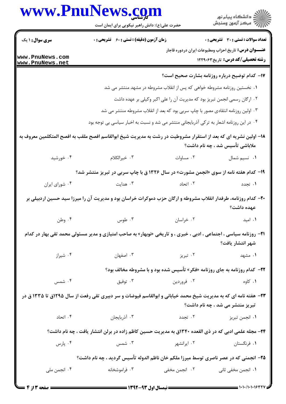|                        | www.PnuNews.com<br>حضرت علی(ع): دانش راهبر نیکویی برای ایمان است                                                          |               | ر<br>دانشڪاه پيام نور)<br>ا                                                                            |
|------------------------|---------------------------------------------------------------------------------------------------------------------------|---------------|--------------------------------------------------------------------------------------------------------|
| <b>سری سوال : ۱ یک</b> | زمان آزمون (دقیقه) : تستی : 60 ٪ تشریحی : 0                                                                               |               | <b>تعداد سوالات : تستی : 30 ٪ تشریحی : 0</b>                                                           |
| www.PnuNews.com        |                                                                                                                           |               | <b>عنـــوان درس:</b> تاريخ احزاب ومطبوعات ايران دردوره قاجار<br><b>رشته تحصیلی/کد درس:</b> تاریخ3,1229 |
| www.PnuNews.net        |                                                                                                                           |               | ۱۷– کدام توضیح درباره روزنامه بشارت صحیح است؟                                                          |
|                        | ۰۱ نخستین روزنامه مشروطه خواهی که پس از انقلاب مشروطه در مشهد منتشر می شد                                                 |               |                                                                                                        |
|                        |                                                                                                                           |               | ۰۲ ارگان رسمی انجمن تبریز بود که مدیریت آن را علی اکبر وکیلی بر عهده داشت                              |
|                        | ۰۳ اولین روزنامه انتقادی مصور با چاپ سربی بود که بعد از انقلاب مشروطه منتشر می شد                                         |               |                                                                                                        |
|                        | ۰۴ در این روزنامه اشعار به ترکی آذربایجانی منتشر می شد و نسبت به اخبار سیاسی بی توجه بود                                  |               |                                                                                                        |
|                        | ۱۸– اولین نشریه ای که بعد از استقرار مشروطیت در رشت به مدیریت شیخ ابوالقاسم افصح ملقب به افصح المتکلمین معروف به          |               | ملاباشی تأسیس شد ، چه نام داشت؟                                                                        |
| ۰۴ خورشید              | ۰۳ خیرالکلام                                                                                                              | ۰۲ مساوات     | ٠١ نسيم شمال                                                                                           |
|                        | ۱۹- کدام هفته نامه از سوی «انجمن مشورت» در سال ۱۳۲۶ ق با چاپ سربی در تبریز منتشر شد؟                                      |               |                                                                                                        |
| ۰۴ شورای ایران         | ۰۳ هدایت                                                                                                                  | ۰۲ اتحاد      | ۰۱ تجدد                                                                                                |
|                        | +۲- کدام روزنامه، طرفدار انقلاب مشروطه و ارگان حزب دموکرات خراسان بود و مدیریت آن را میرزا سید حسین اردبیلی بر            |               | عهده داشت؟                                                                                             |
| ۰۴ وطن                 | ۰۲ خراسان میسی است. ته است و سال ۱۳                                                                                       |               | ۰۱ امید                                                                                                |
|                        | <b>۳۱</b> - روزنامه سیاسی ، اجتماعی ، ادبی ، خبری ، و تاریخی «نوبهار» به صاحب امتیازی و مدیر مسئولی محمد تقی بهار در کدام |               | شهر انتشار يافت؟                                                                                       |
| ۰۴ شیراز               | ۰۳ اصفهان                                                                                                                 | ۰۲ تبریز      | ۰۱ مشهد                                                                                                |
|                        |                                                                                                                           |               | 22- کدام روزنامه به جای روزنامه «فکر» تأسیس شده بود و با مشروطه مخالف بود؟                             |
| ۰۴ شمس                 | ۰۳ توفیق                                                                                                                  | ۰۲ فروردين    | ۰۱ کاوه                                                                                                |
|                        | ۲۳- هفته نامه ای که به مدیریت شیخ محمد خیابانی و ابوالقاسم فیوضات و سر دبیری تقی رفعت از سال ۱۲۹۵ق تا ۱۳۳۵ ق در           |               | تبریز منتشر می شد ، چه نام داشت؟                                                                       |
| ۰۴ اتحاد               | ۰۳ آذربایجان                                                                                                              | ۰۲ تجدد       | ۰۱ انجمن تبریز                                                                                         |
|                        | ۲۴- مجله علمی ادبی که در ذی القعده ۱۳۴۰ق به مدیریت حسین کاظم زاده در برلن انتشار یافت ، چه نام داشت؟                      |               |                                                                                                        |
| ۰۴ پارس                | ۲. ایرانشهر هستن است. تشمس                                                                                                |               | ٠١ فرنگستان                                                                                            |
|                        | ۲۵- انجمنی که در عصر ناصری توسط میرزا ملکم خان ناظم الدوله تأسیس گردید ، چه نام داشت؟                                     |               |                                                                                                        |
| ۰۴ انجمن ملي           | ۰۳ فراموشخانه                                                                                                             | ۰۲ انجمن مخفی | ٠١. انجمن مخفي ثاني                                                                                    |

 $\bar{r}$